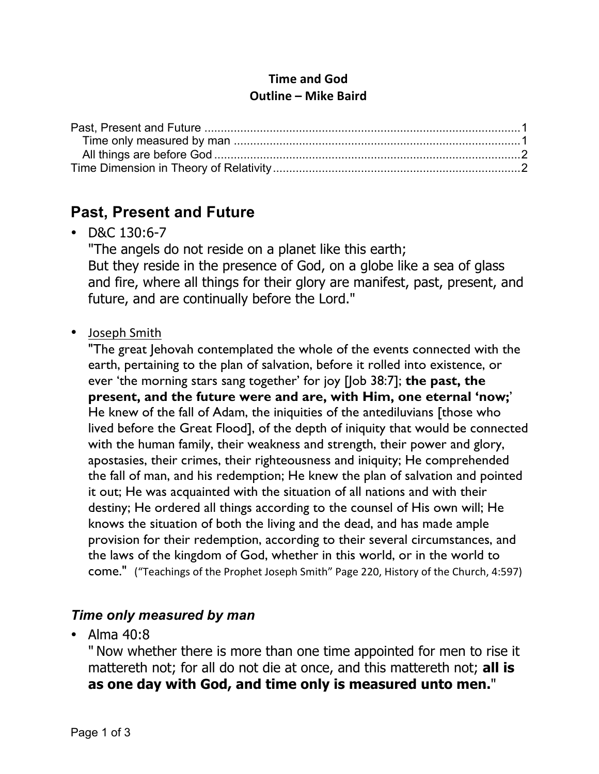#### **Time and God Outline – Mike Baird**

## **Past, Present and Future**

• D&C 130:6-7

"The angels do not reside on a planet like this earth; But they reside in the presence of God, on a globe like a sea of glass and fire, where all things for their glory are manifest, past, present, and future, and are continually before the Lord."

#### • Joseph Smith

"The great Jehovah contemplated the whole of the events connected with the earth, pertaining to the plan of salvation, before it rolled into existence, or ever 'the morning stars sang together' for joy [Job 38:7]; **the past, the present, and the future were and are, with Him, one eternal 'now;**' He knew of the fall of Adam, the iniquities of the antediluvians [those who lived before the Great Flood], of the depth of iniquity that would be connected with the human family, their weakness and strength, their power and glory, apostasies, their crimes, their righteousness and iniquity; He comprehended the fall of man, and his redemption; He knew the plan of salvation and pointed it out; He was acquainted with the situation of all nations and with their destiny; He ordered all things according to the counsel of His own will; He knows the situation of both the living and the dead, and has made ample provision for their redemption, according to their several circumstances, and the laws of the kingdom of God, whether in this world, or in the world to come." ("Teachings of the Prophet Joseph Smith" Page 220, History of the Church, 4:597)

#### *Time only measured by man*

• Alma 40:8

" Now whether there is more than one time appointed for men to rise it mattereth not; for all do not die at once, and this mattereth not; **all is as one day with God, and time only is measured unto men.**"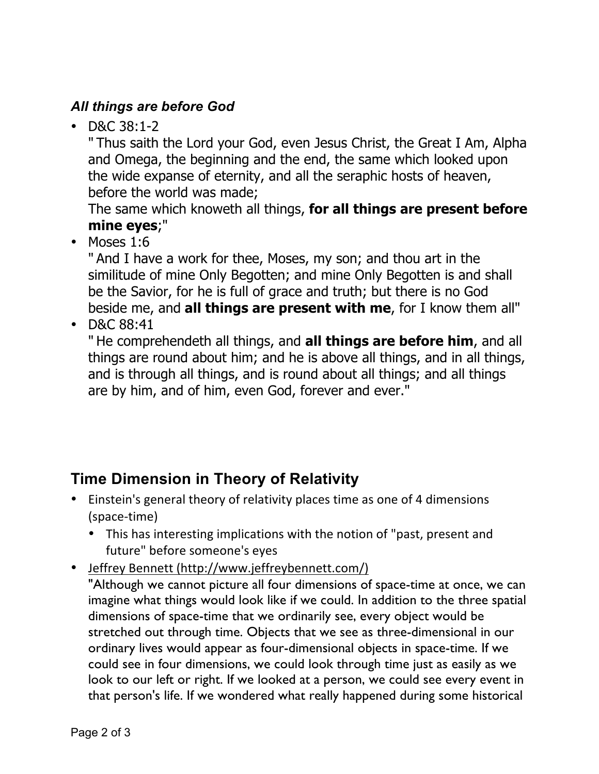### *All things are before God*

• D&C 38:1-2

" Thus saith the Lord your God, even Jesus Christ, the Great I Am, Alpha and Omega, the beginning and the end, the same which looked upon the wide expanse of eternity, and all the seraphic hosts of heaven, before the world was made;

The same which knoweth all things, **for all things are present before mine eyes**;"

• Moses 1:6

" And I have a work for thee, Moses, my son; and thou art in the similitude of mine Only Begotten; and mine Only Begotten is and shall be the Savior, for he is full of grace and truth; but there is no God beside me, and **all things are present with me**, for I know them all"

• D&C 88:41

" He comprehendeth all things, and **all things are before him**, and all things are round about him; and he is above all things, and in all things, and is through all things, and is round about all things; and all things are by him, and of him, even God, forever and ever."

# **Time Dimension in Theory of Relativity**

- Einstein's general theory of relativity places time as one of 4 dimensions (space-time)
	- This has interesting implications with the notion of "past, present and future" before someone's eyes
- Jeffrey Bennett (http://www.jeffreybennett.com/)

"Although we cannot picture all four dimensions of space-time at once, we can imagine what things would look like if we could. In addition to the three spatial dimensions of space-time that we ordinarily see, every object would be stretched out through time. Objects that we see as three-dimensional in our ordinary lives would appear as four-dimensional objects in space-time. If we could see in four dimensions, we could look through time just as easily as we look to our left or right. If we looked at a person, we could see every event in that person's life. If we wondered what really happened during some historical